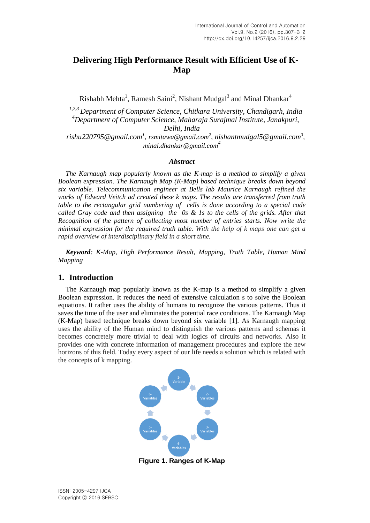# **Delivering High Performance Result with Efficient Use of K-Map**

Rishabh Mehta<sup>1</sup>, Ramesh Saini<sup>2</sup>, Nishant Mudgal<sup>3</sup> and Minal Dhankar<sup>4</sup>

*1,2,3 Department of Computer Science, Chitkara University, Chandigarh, India <sup>4</sup>Department of Computer Science, Maharaja Surajmal Institute, Janakpuri, Delhi, India*

*rishu220795@gmail.com<sup>1</sup> , rsmitawa@gmail.com<sup>2</sup> , nishantmudgal5@gmail.com<sup>3</sup> , minal.dhankar@gmail.com<sup>4</sup>*

#### *Abstract*

*The Karnaugh map popularly known as the K-map is a method to simplify a given Boolean expression. The Karnaugh Map (K-Map) based technique breaks down beyond six variable. Telecommunication engineer at Bells lab Maurice Karnaugh refined the works of Edward Veitch ad created these k maps. The results are transferred from truth table to the rectangular grid numbering of cells is done according to a special code called Gray code and then assigning the 0s & 1s to the cells of the grids. After that Recognition of the pattern of collecting most number of entries starts. Now write the minimal expression for the required truth table. With the help of k maps one can get a rapid overview of interdisciplinary field in a short time.*

*Keyword: K-Map, High Performance Result, Mapping, Truth Table, Human Mind Mapping*

#### **1. Introduction**

The Karnaugh map popularly known as the K-map is a method to simplify a given Boolean expression. It reduces the need of extensive calculation s to solve the Boolean equations. It rather uses the ability of humans to recognize the various patterns. Thus it saves the time of the user and eliminates the potential race conditions. The Karnaugh Map (K-Map) based technique breaks down beyond six variable [1]. As Karnaugh mapping uses the ability of the Human mind to distinguish the various patterns and schemas it becomes concretely more trivial to deal with logics of circuits and networks. Also it provides one with concrete information of management procedures and explore the new horizons of this field. Today every aspect of our life needs a solution which is related with the concepts of k mapping.



**Figure 1. Ranges of K-Map**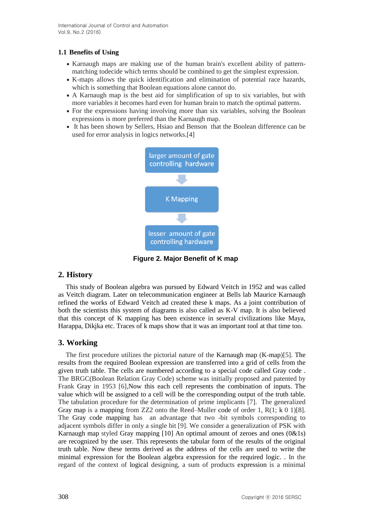## **1.1 Benefits of Using**

- Karnaugh maps are making use of the human brain's excellent ability of patternmatching todecide which terms should be combined to get the simplest expression.
- K-maps allows the quick identification and elimination of potential race hazards, which is something that Boolean equations alone cannot do.
- A Karnaugh map is the best aid for simplification of up to six variables, but with more variables it becomes hard even for human brain to match the optimal patterns.
- For the expressions having involving more than six variables, solving the Boolean expressions is more preferred than the Karnaugh map.
- It has been shown by Sellers, Hsiao and Benson that the Boolean difference can be used for error analysis in logics networks.[4]



**Figure 2. Major Benefit of K map**

# **2. History**

This study of Boolean algebra was pursued by Edward Veitch in 1952 and was called as Veitch diagram. Later on telecommunication engineer at Bells lab Maurice Karnaugh refined the works of Edward Veitch ad created these k maps. As a joint contribution of both the scientists this system of diagrams is also called as K-V map. It is also believed that this concept of K mapping has been existence in several civilizations like Maya, Harappa, Dikjka etc. Traces of k maps show that it was an important tool at that time too.

# **3. Working**

The first procedure utilizes the pictorial nature of the Karnaugh map (K-map)[5]. The results from the required Boolean expression are transferred into a grid of cells from the given truth table. The cells are numbered according to a special code called Gray code . The BRGC(Boolean Relation Gray Code) scheme was initially proposed and patented by Frank Gray in 1953 [6],Now this each cell represents the combination of inputs. The value which will be assigned to a cell will be the corresponding output of the truth table. The tabulation procedure for the determination of prime implicants [7]. The generalized Gray map is a mapping from ZZ2 onto the Reed–Muller code of order 1, R(1; k 0 1)[8]. The Gray code mapping has an advantage that two -bit symbols corresponding to adjacent symbols differ in only a single bit [9]. We consider a generalization of PSK with Karnaugh map styled Gray mapping [10] An optimal amount of zeroes and ones (0&1s) are recognized by the user. This represents the tabular form of the results of the original truth table. Now these terms derived as the address of the cells are used to write the minimal expression for the Boolean algebra expression for the required logic. . In the regard of the context of logical designing, a sum of products expression is a minimal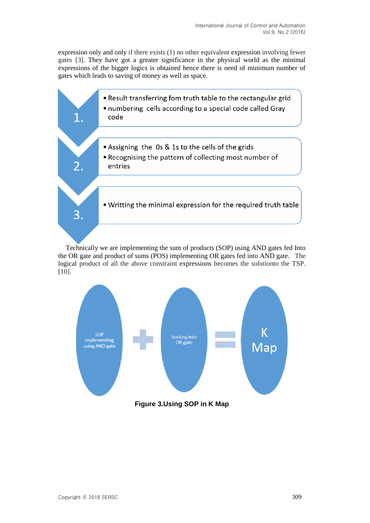expression only and only if there exists (1) no other equivalent expression involving fewer gates [3]. They have got a greater significance in the physical world as the minimal expressions of the bigger logics is obtained hence there is need of minimum number of gates which leads to saving of money as well as space.



Technically we are implementing the sum of products (SOP) using AND gates fed Into the OR gate and product of sums (POS) implementing OR gates fed into AND gate. The logical product of all the above constraint expressions becomes the solutionto the TSP. [10].

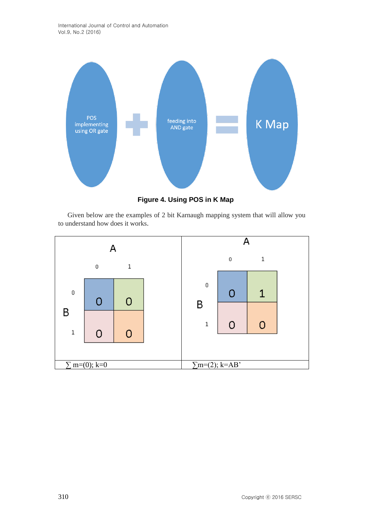International Journal of Control and Automation Vol.9, No.2 (2016)



**Figure 4. Using POS in K Map**

Given below are the examples of 2 bit Karnaugh mapping system that will allow you to understand how does it works.

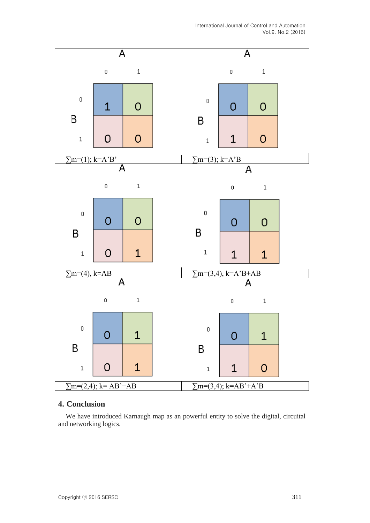

# **4. Conclusion**

We have introduced Karnaugh map as an powerful entity to solve the digital, circuital and networking logics.